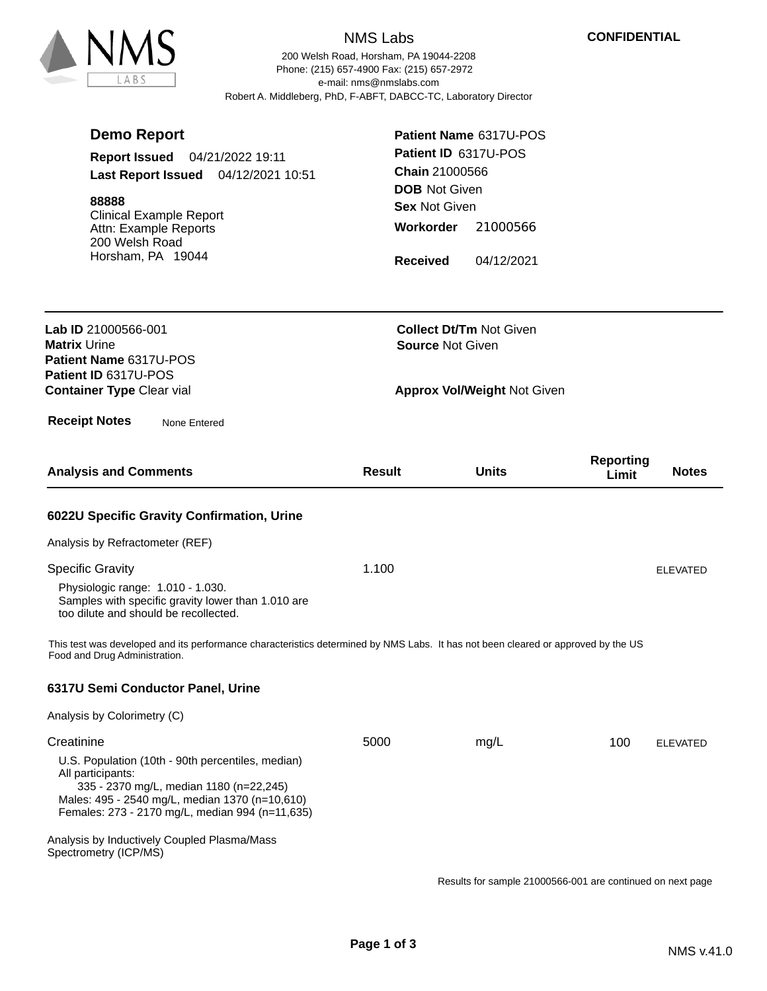## NMS Labs

200 Welsh Road, Horsham, PA 19044-2208 e-mail: nms@nmslabs.com Robert A. Middleberg, PhD, F-ABFT, DABCC-TC, Laboratory Director Phone: (215) 657-4900 Fax: (215) 657-2972

| <b>Demo Report</b><br>Report Issued 04/21/2022 19:11<br>Last Report Issued 04/12/2021 10:51<br>88888<br><b>Clinical Example Report</b><br>Attn: Example Reports<br>200 Welsh Road<br>Horsham, PA 19044                                                                                                       | <b>DOB</b> Not Given<br><b>Sex Not Given</b><br>Workorder<br><b>Received</b> | Patient Name 6317U-POS<br>Patient ID 6317U-POS<br><b>Chain 21000566</b><br>21000566<br>04/12/2021 |                                           |
|--------------------------------------------------------------------------------------------------------------------------------------------------------------------------------------------------------------------------------------------------------------------------------------------------------------|------------------------------------------------------------------------------|---------------------------------------------------------------------------------------------------|-------------------------------------------|
| Lab ID 21000566-001<br><b>Matrix Urine</b><br>Patient Name 6317U-POS<br>Patient ID 6317U-POS<br><b>Container Type Clear vial</b>                                                                                                                                                                             |                                                                              | <b>Collect Dt/Tm Not Given</b><br><b>Source Not Given</b><br><b>Approx Vol/Weight Not Given</b>   |                                           |
| <b>Receipt Notes</b><br>None Entered<br><b>Analysis and Comments</b>                                                                                                                                                                                                                                         | <b>Result</b>                                                                | <b>Units</b>                                                                                      | <b>Reporting</b><br><b>Notes</b><br>Limit |
| 6022U Specific Gravity Confirmation, Urine<br>Analysis by Refractometer (REF)<br><b>Specific Gravity</b><br>Physiologic range: 1.010 - 1.030.<br>Samples with specific gravity lower than 1.010 are<br>too dilute and should be recollected.                                                                 | 1.100                                                                        |                                                                                                   | <b>ELEVATED</b>                           |
| This test was developed and its performance characteristics determined by NMS Labs. It has not been cleared or approved by the US<br>Food and Drug Administration.<br>6317U Semi Conductor Panel, Urine<br>Analysis by Colorimetry (C)                                                                       |                                                                              |                                                                                                   |                                           |
| Creatinine<br>U.S. Population (10th - 90th percentiles, median)<br>All participants:<br>335 - 2370 mg/L, median 1180 (n=22,245)<br>Males: 495 - 2540 mg/L, median 1370 (n=10,610)<br>Females: 273 - 2170 mg/L, median 994 (n=11,635)<br>Analysis by Inductively Coupled Plasma/Mass<br>Spectrometry (ICP/MS) | 5000                                                                         | mg/L                                                                                              | 100<br><b>ELEVATED</b>                    |

Results for sample 21000566-001 are continued on next page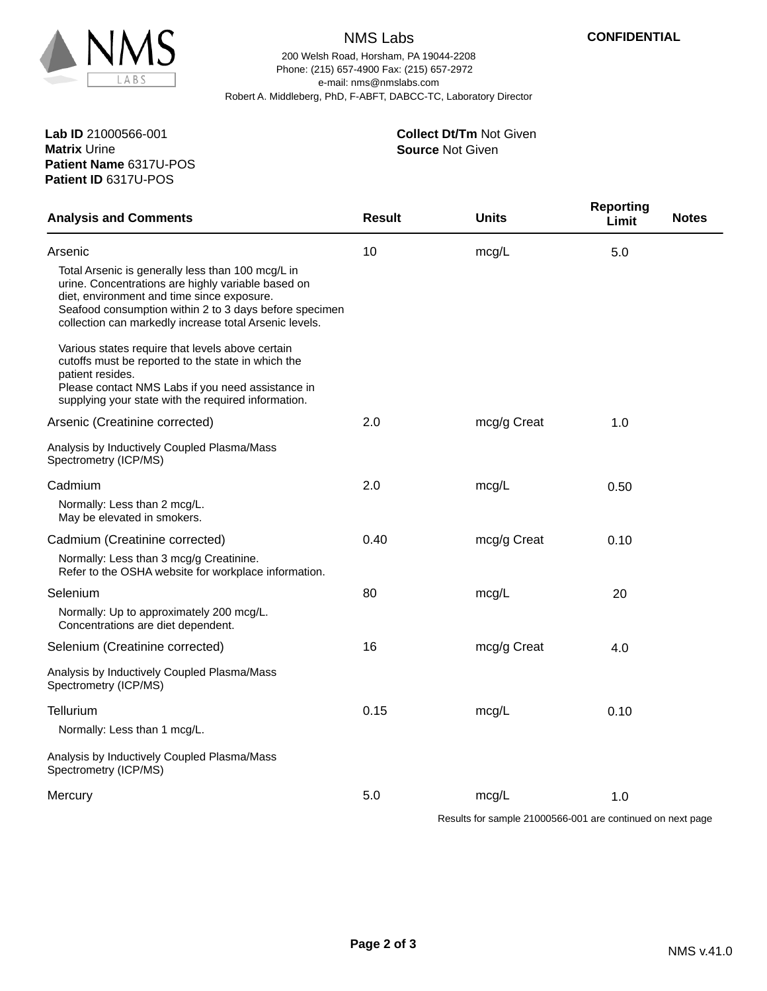

## NMS Labs

200 Welsh Road, Horsham, PA 19044-2208 e-mail: nms@nmslabs.com Robert A. Middleberg, PhD, F-ABFT, DABCC-TC, Laboratory Director Phone: (215) 657-4900 Fax: (215) 657-2972

> **Source** Not Given **Collect Dt/Tm** Not Given

**Patient Name** 6317U-POS **Lab ID** 21000566-001 **Matrix** Urine **Patient ID** 6317U-POS

| <b>Analysis and Comments</b>                                                                                                                                                                                                                                              | <b>Result</b> | <b>Units</b>                                                                                                                                                                                                                                                                                                                                                                                  | <b>Reporting</b><br>Limit | <b>Notes</b> |
|---------------------------------------------------------------------------------------------------------------------------------------------------------------------------------------------------------------------------------------------------------------------------|---------------|-----------------------------------------------------------------------------------------------------------------------------------------------------------------------------------------------------------------------------------------------------------------------------------------------------------------------------------------------------------------------------------------------|---------------------------|--------------|
| Arsenic                                                                                                                                                                                                                                                                   | 10            | mcg/L                                                                                                                                                                                                                                                                                                                                                                                         | 5.0                       |              |
| Total Arsenic is generally less than 100 mcg/L in<br>urine. Concentrations are highly variable based on<br>diet, environment and time since exposure.<br>Seafood consumption within 2 to 3 days before specimen<br>collection can markedly increase total Arsenic levels. |               |                                                                                                                                                                                                                                                                                                                                                                                               |                           |              |
| Various states require that levels above certain<br>cutoffs must be reported to the state in which the<br>patient resides.<br>Please contact NMS Labs if you need assistance in<br>supplying your state with the required information.                                    |               |                                                                                                                                                                                                                                                                                                                                                                                               |                           |              |
| Arsenic (Creatinine corrected)                                                                                                                                                                                                                                            | 2.0           | mcg/g Creat                                                                                                                                                                                                                                                                                                                                                                                   | 1.0                       |              |
| Analysis by Inductively Coupled Plasma/Mass<br>Spectrometry (ICP/MS)                                                                                                                                                                                                      |               |                                                                                                                                                                                                                                                                                                                                                                                               |                           |              |
| Cadmium                                                                                                                                                                                                                                                                   | 2.0           | mcg/L                                                                                                                                                                                                                                                                                                                                                                                         | 0.50                      |              |
| Normally: Less than 2 mcg/L.<br>May be elevated in smokers.                                                                                                                                                                                                               |               |                                                                                                                                                                                                                                                                                                                                                                                               |                           |              |
| Cadmium (Creatinine corrected)                                                                                                                                                                                                                                            | 0.40          | mcg/g Creat                                                                                                                                                                                                                                                                                                                                                                                   | 0.10                      |              |
| Normally: Less than 3 mcg/g Creatinine.<br>Refer to the OSHA website for workplace information.                                                                                                                                                                           |               |                                                                                                                                                                                                                                                                                                                                                                                               |                           |              |
| Selenium                                                                                                                                                                                                                                                                  | 80            | mcg/L                                                                                                                                                                                                                                                                                                                                                                                         | 20                        |              |
| Normally: Up to approximately 200 mcg/L.<br>Concentrations are diet dependent.                                                                                                                                                                                            |               |                                                                                                                                                                                                                                                                                                                                                                                               |                           |              |
| Selenium (Creatinine corrected)                                                                                                                                                                                                                                           | 16            | mcg/g Creat                                                                                                                                                                                                                                                                                                                                                                                   | 4.0                       |              |
| Analysis by Inductively Coupled Plasma/Mass<br>Spectrometry (ICP/MS)                                                                                                                                                                                                      |               |                                                                                                                                                                                                                                                                                                                                                                                               |                           |              |
| Tellurium                                                                                                                                                                                                                                                                 | 0.15          | mcg/L                                                                                                                                                                                                                                                                                                                                                                                         | 0.10                      |              |
| Normally: Less than 1 mcg/L.                                                                                                                                                                                                                                              |               |                                                                                                                                                                                                                                                                                                                                                                                               |                           |              |
| Analysis by Inductively Coupled Plasma/Mass<br>Spectrometry (ICP/MS)                                                                                                                                                                                                      |               |                                                                                                                                                                                                                                                                                                                                                                                               |                           |              |
| Mercury                                                                                                                                                                                                                                                                   | 5.0           | mcg/L<br>$\overline{1}$ $\overline{2}$ $\overline{3}$ $\overline{4}$ $\overline{2}$ $\overline{2}$ $\overline{2}$ $\overline{2}$ $\overline{2}$ $\overline{2}$ $\overline{2}$ $\overline{2}$ $\overline{2}$ $\overline{2}$ $\overline{2}$ $\overline{2}$ $\overline{2}$ $\overline{2}$ $\overline{2}$ $\overline{2}$ $\overline{2}$ $\overline{2}$ $\overline{2}$ $\overline{2}$ $\overline{$ | 1.0                       |              |